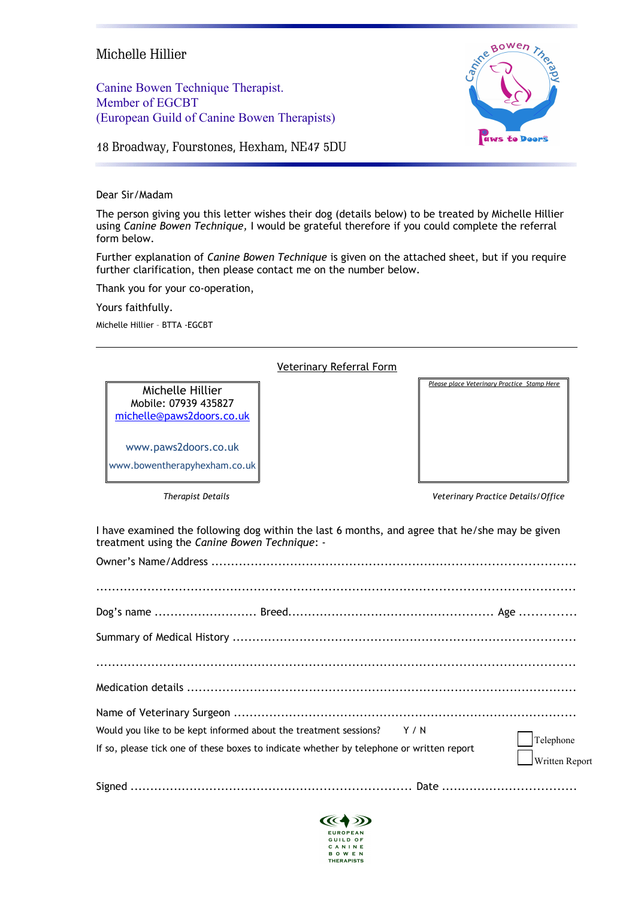## Michelle Hillier

Canine Bowen Technique Therapist. Member of EGCBT (European Guild of Canine Bowen Therapists)



18 Broadway, Fourstones, Hexham, NE47 5DU

Dear Sir/Madam

The person giving you this letter wishes their dog (details below) to be treated by Michelle Hillier using *Canine Bowen Technique,* I would be grateful therefore if you could complete the referral form below.

Further explanation of *Canine Bowen Technique* is given on the attached sheet, but if you require further clarification, then please contact me on the number below.

Thank you for your co-operation,

Yours faithfully.

Michelle Hillier – BTTA -EGCBT

## Veterinary Referral Form

Mobile: 07939 435827 [michelle@paws2doors.co.uk](mailto:michelle@paws2doors.co.uk)

[www.paws2doors.co.uk](http://www.paws2doors.co.uk/) www.bowentherapyhexham.co.uk

*Please place Veterinary Practice Stamp Here* Michelle Hillier

*Therapist Details Veterinary Practice Details/Office*

I have examined the following dog within the last 6 months, and agree that he/she may be given treatment using the *Canine Bowen Technique*: -

| Would you like to be kept informed about the treatment sessions? $Y / N$                 |                                     |
|------------------------------------------------------------------------------------------|-------------------------------------|
| If so, please tick one of these boxes to indicate whether by telephone or written report | $\vert$ Telephone<br>Written Report |
|                                                                                          |                                     |